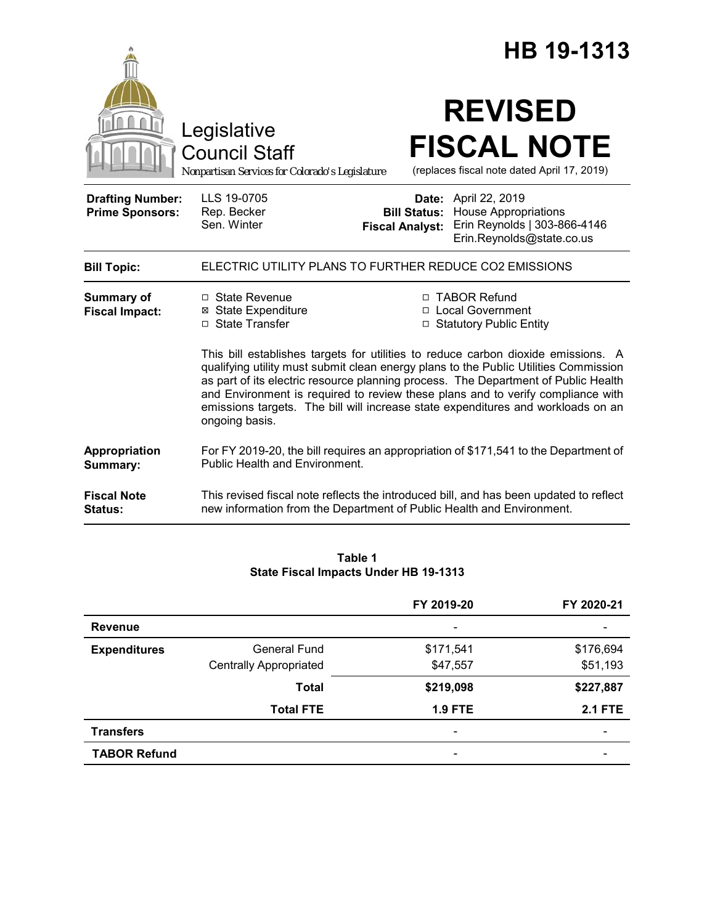|                                                   |                                                                                                                                                                                       |                        | HB 19-1313                                                                                                                                                                                                                                                                                                                           |  |
|---------------------------------------------------|---------------------------------------------------------------------------------------------------------------------------------------------------------------------------------------|------------------------|--------------------------------------------------------------------------------------------------------------------------------------------------------------------------------------------------------------------------------------------------------------------------------------------------------------------------------------|--|
|                                                   | Legislative<br><b>Council Staff</b><br>Nonpartisan Services for Colorado's Legislature                                                                                                |                        | <b>REVISED</b><br><b>FISCAL NOTE</b><br>(replaces fiscal note dated April 17, 2019)                                                                                                                                                                                                                                                  |  |
| <b>Drafting Number:</b><br><b>Prime Sponsors:</b> | LLS 19-0705<br>Rep. Becker<br>Sen. Winter                                                                                                                                             | <b>Fiscal Analyst:</b> | <b>Date:</b> April 22, 2019<br><b>Bill Status:</b> House Appropriations<br>Erin Reynolds   303-866-4146<br>Erin.Reynolds@state.co.us                                                                                                                                                                                                 |  |
| <b>Bill Topic:</b>                                | ELECTRIC UTILITY PLANS TO FURTHER REDUCE CO2 EMISSIONS                                                                                                                                |                        |                                                                                                                                                                                                                                                                                                                                      |  |
| <b>Summary of</b><br><b>Fiscal Impact:</b>        | □ State Revenue<br><b>⊠</b> State Expenditure<br>□ State Transfer                                                                                                                     |                        | □ TABOR Refund<br>□ Local Government<br>□ Statutory Public Entity<br>This bill establishes targets for utilities to reduce carbon dioxide emissions. A<br>qualifying utility must submit clean energy plans to the Public Utilities Commission<br>as part of its electric resource planning process. The Department of Public Health |  |
|                                                   | and Environment is required to review these plans and to verify compliance with<br>emissions targets. The bill will increase state expenditures and workloads on an<br>ongoing basis. |                        |                                                                                                                                                                                                                                                                                                                                      |  |
| Appropriation<br>Summary:                         | For FY 2019-20, the bill requires an appropriation of \$171,541 to the Department of<br><b>Public Health and Environment.</b>                                                         |                        |                                                                                                                                                                                                                                                                                                                                      |  |
| <b>Fiscal Note</b><br>Status:                     | new information from the Department of Public Health and Environment.                                                                                                                 |                        | This revised fiscal note reflects the introduced bill, and has been updated to reflect                                                                                                                                                                                                                                               |  |

### **Table 1 State Fiscal Impacts Under HB 19-1313**

|                     |                               | FY 2019-20                   | FY 2020-21               |
|---------------------|-------------------------------|------------------------------|--------------------------|
| <b>Revenue</b>      |                               | $\qquad \qquad \blacksquare$ | $\overline{\phantom{0}}$ |
| <b>Expenditures</b> | General Fund                  | \$171,541                    | \$176,694                |
|                     | <b>Centrally Appropriated</b> | \$47,557                     | \$51,193                 |
|                     | <b>Total</b>                  | \$219,098                    | \$227,887                |
|                     | <b>Total FTE</b>              | <b>1.9 FTE</b>               | <b>2.1 FTE</b>           |
| <b>Transfers</b>    |                               | $\qquad \qquad \blacksquare$ | $\overline{\phantom{0}}$ |
| <b>TABOR Refund</b> |                               |                              |                          |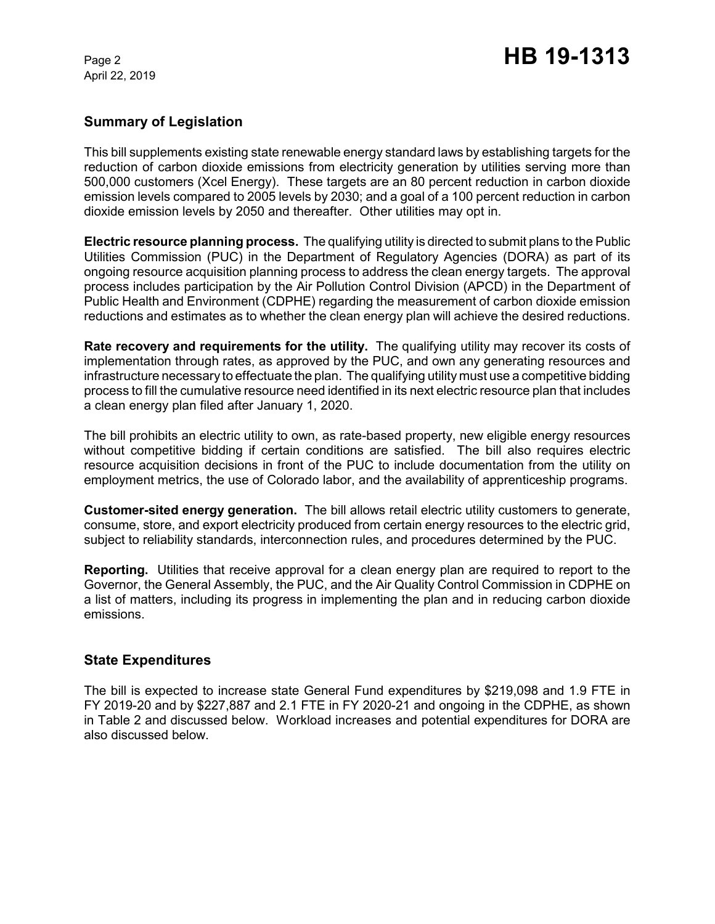April 22, 2019

# **Summary of Legislation**

This bill supplements existing state renewable energy standard laws by establishing targets for the reduction of carbon dioxide emissions from electricity generation by utilities serving more than 500,000 customers (Xcel Energy). These targets are an 80 percent reduction in carbon dioxide emission levels compared to 2005 levels by 2030; and a goal of a 100 percent reduction in carbon dioxide emission levels by 2050 and thereafter. Other utilities may opt in.

**Electric resource planning process.** The qualifying utility is directed to submit plans to the Public Utilities Commission (PUC) in the Department of Regulatory Agencies (DORA) as part of its ongoing resource acquisition planning process to address the clean energy targets. The approval process includes participation by the Air Pollution Control Division (APCD) in the Department of Public Health and Environment (CDPHE) regarding the measurement of carbon dioxide emission reductions and estimates as to whether the clean energy plan will achieve the desired reductions.

**Rate recovery and requirements for the utility.** The qualifying utility may recover its costs of implementation through rates, as approved by the PUC, and own any generating resources and infrastructure necessary to effectuate the plan. The qualifying utility must use a competitive bidding process to fill the cumulative resource need identified in its next electric resource plan that includes a clean energy plan filed after January 1, 2020.

The bill prohibits an electric utility to own, as rate-based property, new eligible energy resources without competitive bidding if certain conditions are satisfied. The bill also requires electric resource acquisition decisions in front of the PUC to include documentation from the utility on employment metrics, the use of Colorado labor, and the availability of apprenticeship programs.

**Customer-sited energy generation.** The bill allows retail electric utility customers to generate, consume, store, and export electricity produced from certain energy resources to the electric grid, subject to reliability standards, interconnection rules, and procedures determined by the PUC.

**Reporting.** Utilities that receive approval for a clean energy plan are required to report to the Governor, the General Assembly, the PUC, and the Air Quality Control Commission in CDPHE on a list of matters, including its progress in implementing the plan and in reducing carbon dioxide emissions.

### **State Expenditures**

The bill is expected to increase state General Fund expenditures by \$219,098 and 1.9 FTE in FY 2019-20 and by \$227,887 and 2.1 FTE in FY 2020-21 and ongoing in the CDPHE, as shown in Table 2 and discussed below. Workload increases and potential expenditures for DORA are also discussed below.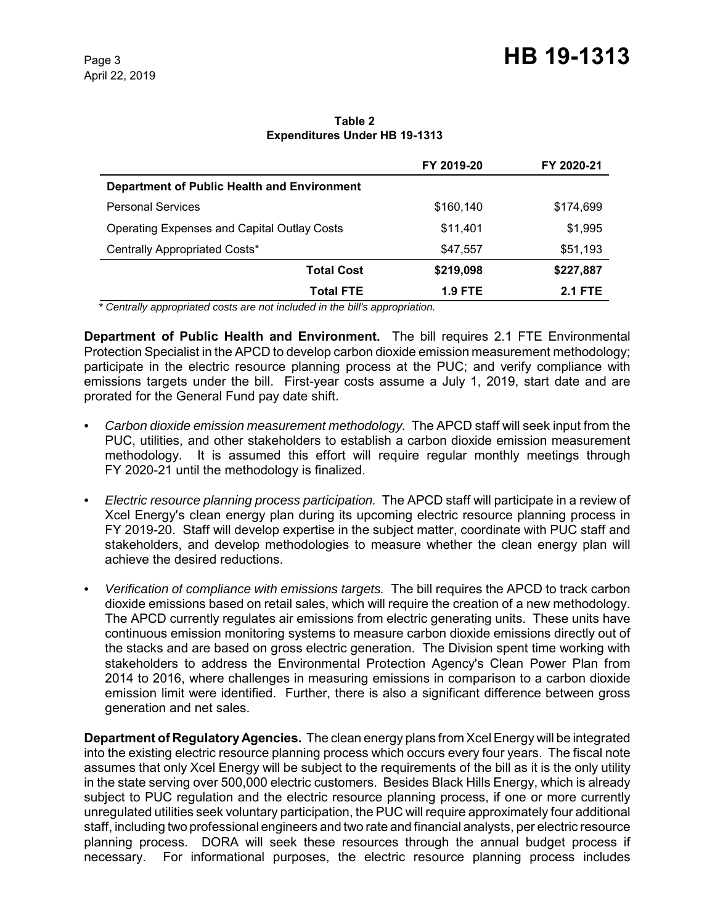#### **Table 2 Expenditures Under HB 19-1313**

|                                                    | FY 2019-20     | FY 2020-21     |
|----------------------------------------------------|----------------|----------------|
| Department of Public Health and Environment        |                |                |
| <b>Personal Services</b>                           | \$160,140      | \$174,699      |
| <b>Operating Expenses and Capital Outlay Costs</b> | \$11,401       | \$1,995        |
| Centrally Appropriated Costs*                      | \$47,557       | \$51,193       |
| <b>Total Cost</b>                                  | \$219,098      | \$227,887      |
| <b>Total FTE</b>                                   | <b>1.9 FTE</b> | <b>2.1 FTE</b> |

 *\* Centrally appropriated costs are not included in the bill's appropriation.*

**Department of Public Health and Environment.** The bill requires 2.1 FTE Environmental Protection Specialist in the APCD to develop carbon dioxide emission measurement methodology; participate in the electric resource planning process at the PUC; and verify compliance with emissions targets under the bill. First-year costs assume a July 1, 2019, start date and are prorated for the General Fund pay date shift.

- *• Carbon dioxide emission measurement methodology.* The APCD staff will seek input from the PUC, utilities, and other stakeholders to establish a carbon dioxide emission measurement methodology. It is assumed this effort will require regular monthly meetings through FY 2020-21 until the methodology is finalized.
- *• Electric resource planning process participation.* The APCD staff will participate in a review of Xcel Energy's clean energy plan during its upcoming electric resource planning process in FY 2019-20. Staff will develop expertise in the subject matter, coordinate with PUC staff and stakeholders, and develop methodologies to measure whether the clean energy plan will achieve the desired reductions.
- *• Verification of compliance with emissions targets.* The bill requires the APCD to track carbon dioxide emissions based on retail sales, which will require the creation of a new methodology. The APCD currently regulates air emissions from electric generating units. These units have continuous emission monitoring systems to measure carbon dioxide emissions directly out of the stacks and are based on gross electric generation. The Division spent time working with stakeholders to address the Environmental Protection Agency's Clean Power Plan from 2014 to 2016, where challenges in measuring emissions in comparison to a carbon dioxide emission limit were identified. Further, there is also a significant difference between gross generation and net sales.

**Department of Regulatory Agencies.** The clean energy plans from Xcel Energy will be integrated into the existing electric resource planning process which occurs every four years. The fiscal note assumes that only Xcel Energy will be subject to the requirements of the bill as it is the only utility in the state serving over 500,000 electric customers. Besides Black Hills Energy, which is already subject to PUC regulation and the electric resource planning process, if one or more currently unregulated utilities seek voluntary participation, the PUC will require approximately four additional staff, including two professional engineers and two rate and financial analysts, per electric resource planning process. DORA will seek these resources through the annual budget process if necessary. For informational purposes, the electric resource planning process includes